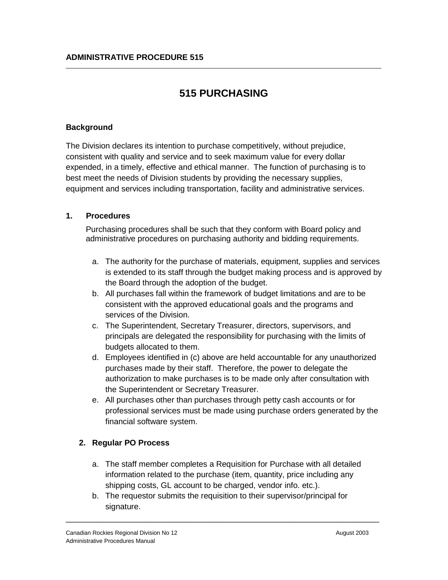# **515 PURCHASING**

 $\_$  ,  $\_$  ,  $\_$  ,  $\_$  ,  $\_$  ,  $\_$  ,  $\_$  ,  $\_$  ,  $\_$  ,  $\_$  ,  $\_$  ,  $\_$  ,  $\_$  ,  $\_$  ,  $\_$  ,  $\_$  ,  $\_$  ,  $\_$  ,  $\_$  ,  $\_$  ,  $\_$  ,  $\_$  ,  $\_$  ,  $\_$  ,  $\_$  ,  $\_$  ,  $\_$  ,  $\_$  ,  $\_$  ,  $\_$  ,  $\_$  ,  $\_$  ,  $\_$  ,  $\_$  ,  $\_$  ,  $\_$  ,  $\_$  ,

## **Background**

The Division declares its intention to purchase competitively, without prejudice, consistent with quality and service and to seek maximum value for every dollar expended, in a timely, effective and ethical manner. The function of purchasing is to best meet the needs of Division students by providing the necessary supplies, equipment and services including transportation, facility and administrative services.

### **1. Procedures**

Purchasing procedures shall be such that they conform with Board policy and administrative procedures on purchasing authority and bidding requirements.

- a. The authority for the purchase of materials, equipment, supplies and services is extended to its staff through the budget making process and is approved by the Board through the adoption of the budget.
- b. All purchases fall within the framework of budget limitations and are to be consistent with the approved educational goals and the programs and services of the Division.
- c. The Superintendent, Secretary Treasurer, directors, supervisors, and principals are delegated the responsibility for purchasing with the limits of budgets allocated to them.
- d. Employees identified in (c) above are held accountable for any unauthorized purchases made by their staff. Therefore, the power to delegate the authorization to make purchases is to be made only after consultation with the Superintendent or Secretary Treasurer.
- e. All purchases other than purchases through petty cash accounts or for professional services must be made using purchase orders generated by the financial software system.

## **2. Regular PO Process**

- a. The staff member completes a Requisition for Purchase with all detailed information related to the purchase (item, quantity, price including any shipping costs, GL account to be charged, vendor info. etc.).
- b. The requestor submits the requisition to their supervisor/principal for signature.

\_\_\_\_\_\_\_\_\_\_\_\_\_\_\_\_\_\_\_\_\_\_\_\_\_\_\_\_\_\_\_\_\_\_\_\_\_\_\_\_\_\_\_\_\_\_\_\_\_\_\_\_\_\_\_\_\_\_\_\_\_\_\_\_\_\_\_\_\_\_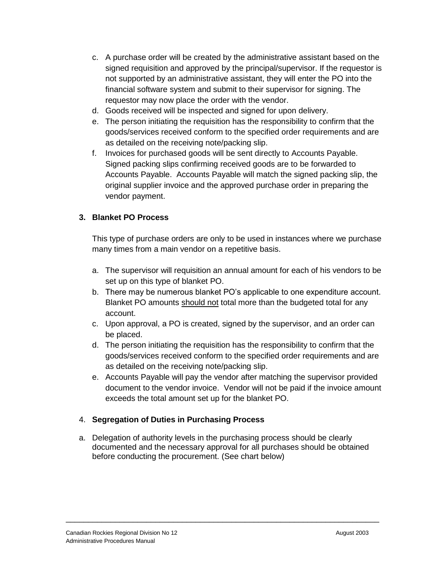- c. A purchase order will be created by the administrative assistant based on the signed requisition and approved by the principal/supervisor. If the requestor is not supported by an administrative assistant, they will enter the PO into the financial software system and submit to their supervisor for signing. The requestor may now place the order with the vendor.
- d. Goods received will be inspected and signed for upon delivery.
- e. The person initiating the requisition has the responsibility to confirm that the goods/services received conform to the specified order requirements and are as detailed on the receiving note/packing slip.
- f. Invoices for purchased goods will be sent directly to Accounts Payable. Signed packing slips confirming received goods are to be forwarded to Accounts Payable. Accounts Payable will match the signed packing slip, the original supplier invoice and the approved purchase order in preparing the vendor payment.

# **3. Blanket PO Process**

This type of purchase orders are only to be used in instances where we purchase many times from a main vendor on a repetitive basis.

- a. The supervisor will requisition an annual amount for each of his vendors to be set up on this type of blanket PO.
- b. There may be numerous blanket PO's applicable to one expenditure account. Blanket PO amounts should not total more than the budgeted total for any account.
- c. Upon approval, a PO is created, signed by the supervisor, and an order can be placed.
- d. The person initiating the requisition has the responsibility to confirm that the goods/services received conform to the specified order requirements and are as detailed on the receiving note/packing slip.
- e. Accounts Payable will pay the vendor after matching the supervisor provided document to the vendor invoice. Vendor will not be paid if the invoice amount exceeds the total amount set up for the blanket PO.

## 4. **Segregation of Duties in Purchasing Process**

a. Delegation of authority levels in the purchasing process should be clearly documented and the necessary approval for all purchases should be obtained before conducting the procurement. (See chart below)

\_\_\_\_\_\_\_\_\_\_\_\_\_\_\_\_\_\_\_\_\_\_\_\_\_\_\_\_\_\_\_\_\_\_\_\_\_\_\_\_\_\_\_\_\_\_\_\_\_\_\_\_\_\_\_\_\_\_\_\_\_\_\_\_\_\_\_\_\_\_